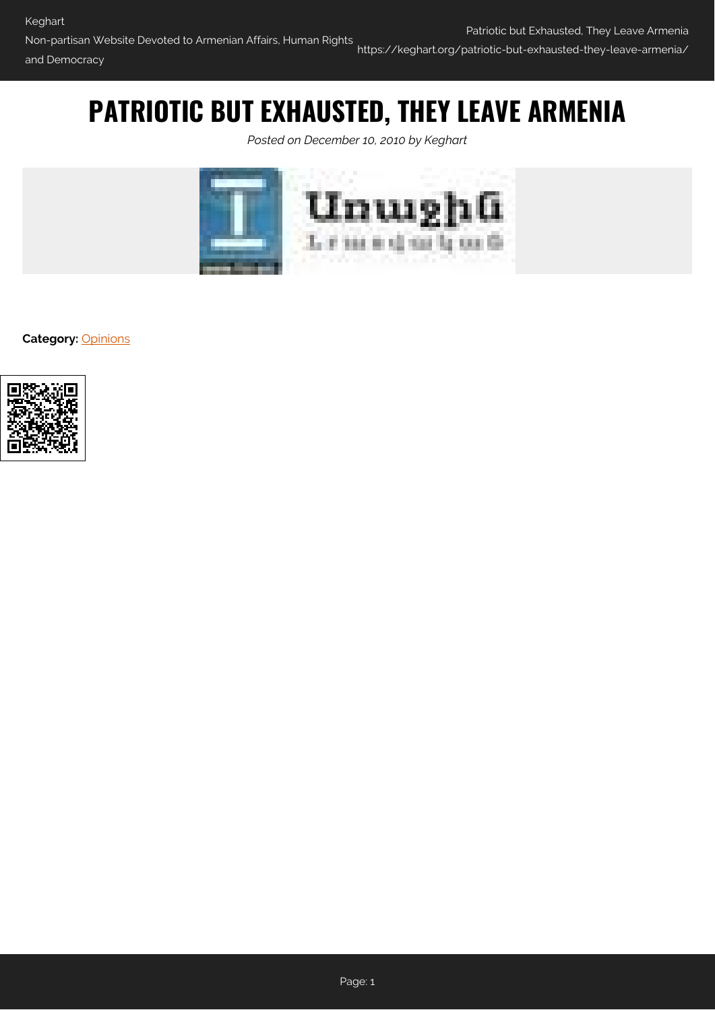## **PATRIOTIC BUT EXHAUSTED, THEY LEAVE ARMENIA**

*Posted on December 10, 2010 by Keghart*



**Category: [Opinions](https://keghart.org/category/opinions/)** 

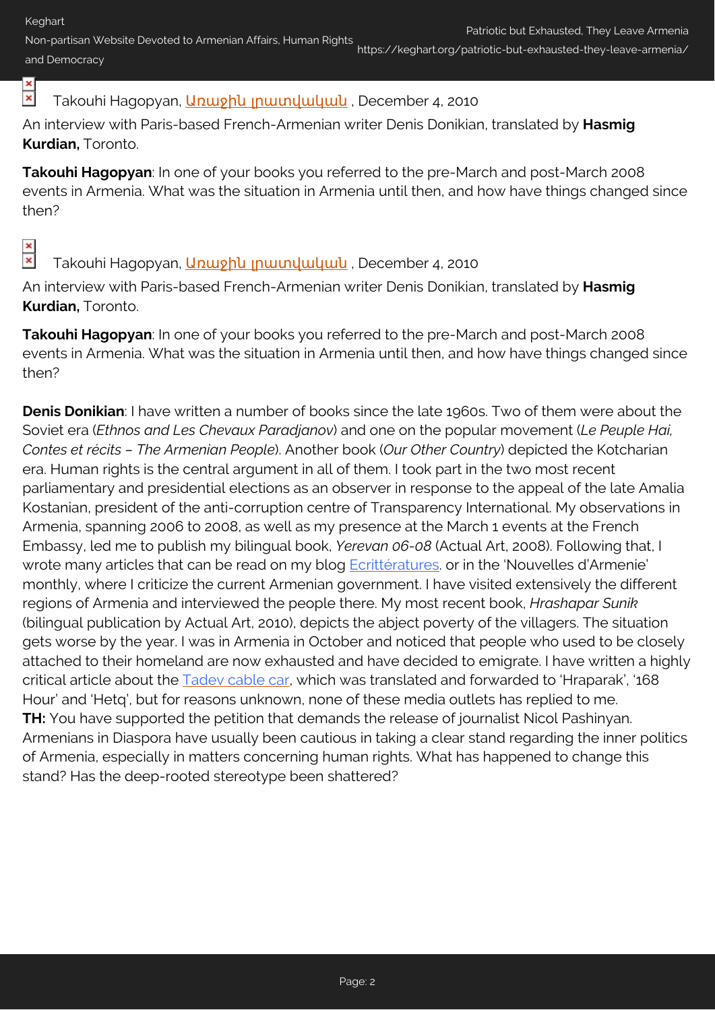Non-partisan Website Devoted to Armenian Affairs, Human Rights and Democracy https://keghart.org/patriotic-but-exhausted-they-leave-armenia/

## $\pmb{\times}$ Takouhi Hagopyan, *Unwyhu muundwuuuuu* , December 4, 2010

An interview with Paris-based French-Armenian writer Denis Donikian, translated by **Hasmig Kurdian,** Toronto.

**Takouhi Hagopyan**: In one of your books you referred to the pre-March and post-March 2008 events in Armenia. What was the situation in Armenia until then, and how have things changed since then?

## $\overline{\mathbf{x}}$

Takouhi Hagopyan, **Արաջին լրատվական**, December 4, 2010

An interview with Paris-based French-Armenian writer Denis Donikian, translated by **Hasmig Kurdian,** Toronto.

**Takouhi Hagopyan**: In one of your books you referred to the pre-March and post-March 2008 events in Armenia. What was the situation in Armenia until then, and how have things changed since then?

**Denis Donikian**: I have written a number of books since the late 1960s. Two of them were about the Soviet era (*Ethnos and Les Chevaux Paradjanov*) and one on the popular movement (*Le Peuple Hai, Contes et récits – The Armenian People*). Another book (*Our Other Country*) depicted the Kotcharian era. Human rights is the central argument in all of them. I took part in the two most recent parliamentary and presidential elections as an observer in response to the appeal of the late Amalia Kostanian, president of the anti-corruption centre of Transparency International. My observations in Armenia, spanning 2006 to 2008, as well as my presence at the March 1 events at the French Embassy, led me to publish my bilingual book, *Yerevan 06-08* (Actual Art, 2008). Following that, I wrote many articles that can be read on my blog **Ecrittératures** or in the 'Nouvelles d'Armenie' monthly, where I criticize the current Armenian government. I have visited extensively the different regions of Armenia and interviewed the people there. My most recent book, *Hrashapar Sunik* (bilingual publication by Actual Art, 2010), depicts the abject poverty of the villagers. The situation gets worse by the year. I was in Armenia in October and noticed that people who used to be closely attached to their homeland are now exhausted and have decided to emigrate. I have written a highly critical article about the [Tadev cable car](http://denisdonikian.wordpress.com/2010/10/17/revolution-telepherique-a-tatev/), which was translated and forwarded to 'Hraparak', '168 Hour' and 'Hetq', but for reasons unknown, none of these media outlets has replied to me. **TH:** You have supported the petition that demands the release of journalist Nicol Pashinyan. Armenians in Diaspora have usually been cautious in taking a clear stand regarding the inner politics of Armenia, especially in matters concerning human rights. What has happened to change this stand? Has the deep-rooted stereotype been shattered?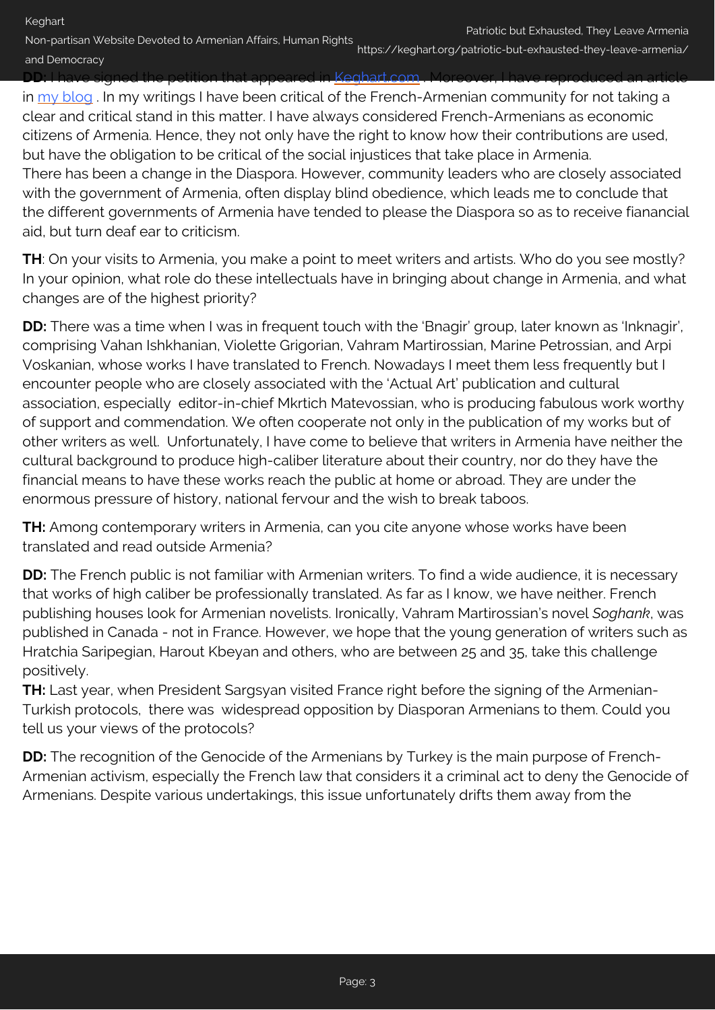Non-partisan Website Devoted to Armenian Affairs, Human Rights and Democracy https://keghart.org/patriotic-but-exhausted-they-leave-armenia/

<u>n that appeared in [Keghart.com](http://beta.keghart.com/opinions/free-journalist-nikol-pashinyan/) </u> in [my blog](http://denisdonikian.wordpress.com/2010/11/27/pour-nikol-pashinyan/). In my writings I have been critical of the French-Armenian community for not taking a

clear and critical stand in this matter. I have always considered French-Armenians as economic citizens of Armenia. Hence, they not only have the right to know how their contributions are used, but have the obligation to be critical of the social injustices that take place in Armenia. There has been a change in the Diaspora. However, community leaders who are closely associated with the government of Armenia, often display blind obedience, which leads me to conclude that the different governments of Armenia have tended to please the Diaspora so as to receive fianancial aid, but turn deaf ear to criticism.

**TH**: On your visits to Armenia, you make a point to meet writers and artists. Who do you see mostly? In your opinion, what role do these intellectuals have in bringing about change in Armenia, and what changes are of the highest priority?

**DD:** There was a time when I was in frequent touch with the 'Bnagir' group, later known as 'Inknagir', comprising Vahan Ishkhanian, Violette Grigorian, Vahram Martirossian, Marine Petrossian, and Arpi Voskanian, whose works I have translated to French. Nowadays I meet them less frequently but I encounter people who are closely associated with the 'Actual Art' publication and cultural association, especially editor-in-chief Mkrtich Matevossian, who is producing fabulous work worthy of support and commendation. We often cooperate not only in the publication of my works but of other writers as well. Unfortunately, I have come to believe that writers in Armenia have neither the cultural background to produce high-caliber literature about their country, nor do they have the financial means to have these works reach the public at home or abroad. They are under the enormous pressure of history, national fervour and the wish to break taboos.

**TH:** Among contemporary writers in Armenia, can you cite anyone whose works have been translated and read outside Armenia?

**DD:** The French public is not familiar with Armenian writers. To find a wide audience, it is necessary that works of high caliber be professionally translated. As far as I know, we have neither. French publishing houses look for Armenian novelists. Ironically, Vahram Martirossian's novel *Soghank*, was published in Canada - not in France. However, we hope that the young generation of writers such as Hratchia Saripegian, Harout Kbeyan and others, who are between 25 and 35, take this challenge positively.

**TH:** Last year, when President Sargsyan visited France right before the signing of the Armenian-Turkish protocols, there was widespread opposition by Diasporan Armenians to them. Could you tell us your views of the protocols?

**DD:** The recognition of the Genocide of the Armenians by Turkey is the main purpose of French-Armenian activism, especially the French law that considers it a criminal act to deny the Genocide of Armenians. Despite various undertakings, this issue unfortunately drifts them away from the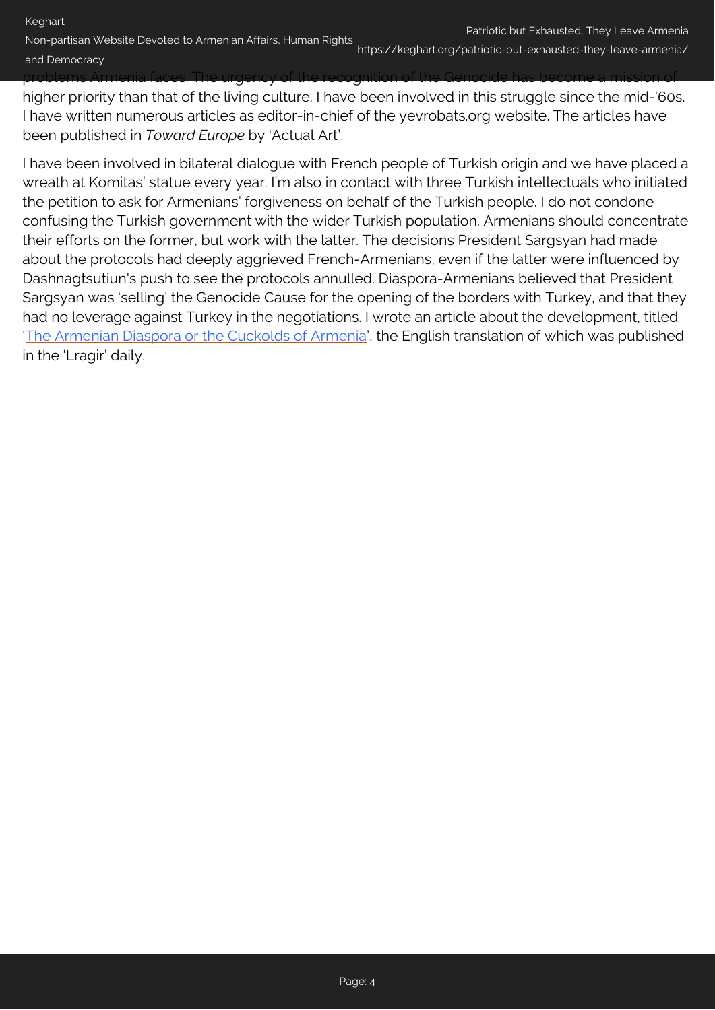Non-partisan Website Devoted to Armenian Affairs, Human Rights and Democracy https://keghart.org/patriotic-but-exhausted-they-leave-armenia/

problems Armenia faces. The urgency of the recognition of the Genocide has become a mission of higher priority than that of the living culture. I have been involved in this struggle since the mid-'60s. I have written numerous articles as editor-in-chief of the yevrobats.org website. The articles have been published in *Toward Europe* by 'Actual Art'.

I have been involved in bilateral dialogue with French people of Turkish origin and we have placed a wreath at Komitas' statue every year. I'm also in contact with three Turkish intellectuals who initiated the petition to ask for Armenians' forgiveness on behalf of the Turkish people. I do not condone confusing the Turkish government with the wider Turkish population. Armenians should concentrate their efforts on the former, but work with the latter. The decisions President Sargsyan had made about the protocols had deeply aggrieved French-Armenians, even if the latter were influenced by Dashnagtsutiun's push to see the protocols annulled. Diaspora-Armenians believed that President Sargsyan was 'selling' the Genocide Cause for the opening of the borders with Turkey, and that they had no leverage against Turkey in the negotiations. I wrote an article about the development, titled ['The Armenian Diaspora or the Cuckolds of Armenia](http://beta.keghart.com/opinions/the-armenian-diaspora-or-the-cuckolds-of-armenia/)', the English translation of which was published in the 'Lragir' daily.